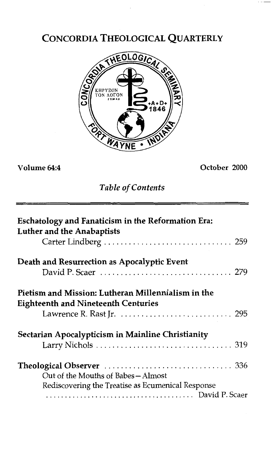# CONCORDIA THEOLOGICAL QUARTERLY



**Volume 64:4** *October 2000* 

*Table of Contents* 

| Eschatology and Fanaticism in the Reformation Era:<br><b>Luther and the Anabaptists</b>          |
|--------------------------------------------------------------------------------------------------|
|                                                                                                  |
| Death and Resurrection as Apocalyptic Event                                                      |
|                                                                                                  |
| Pietism and Mission: Lutheran Millennialism in the<br><b>Eighteenth and Nineteenth Centuries</b> |
|                                                                                                  |
| Sectarian Apocalypticism in Mainline Christianity                                                |
|                                                                                                  |
|                                                                                                  |
| Out of the Mouths of Babes – Almost                                                              |
| Rediscovering the Treatise as Ecumenical Response                                                |
|                                                                                                  |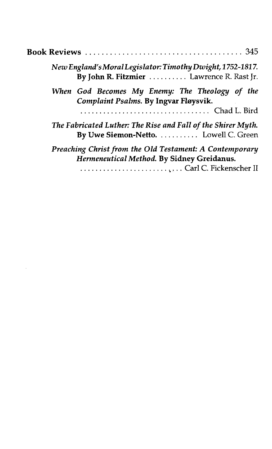| New England's Moral Legislator: Timothy Dwight, 1752-1817.<br>By John R. Fitzmier  Lawrence R. Rast Jr.                         |
|---------------------------------------------------------------------------------------------------------------------------------|
| When God Becomes My Enemy: The Theology of the<br>Complaint Psalms. By Ingvar Fløysvik.<br>Chad L. Bird                         |
| The Fabricated Luther: The Rise and Fall of the Shirer Myth.<br>By Uwe Siemon-Netto.  Lowell C. Green                           |
| Preaching Christ from the Old Testament: A Contemporary<br>Hermeneutical Method. By Sidney Greidanus.<br>Carl C. Fickenscher II |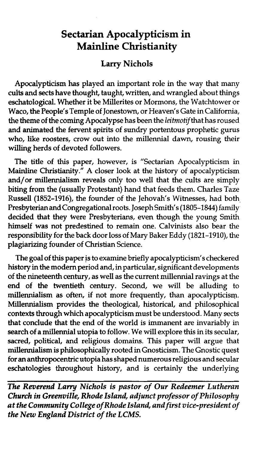## **Sectarian Apocalypticism in Mainline Christianity**

### **Larry Nichols**

Apocalypticism has played an important role in the way that many cults and sects have thought, taught, written, and wrangled about things eschatological. Whether it be Millerites or Mormons, the Watchtower or Waco, the People's Temple of Jonestown, or Heaven's Gate in California, the theme of the coming Apocalypse has been the *leihotif* that has roused and animated the fervent spirits of sundry portentous prophetic gurus who, like roosters, crow out into the millennial dawn, rousing their willing herds of devoted followers.

The title of this paper, however, is "Sectarian Apocalypticism in Mainline Christianity." A closer look at the history of apocalypticism and/or millennialism reveals only too well that the cults are simply biting from the (usually Protestant) hand that feeds them. Charles Taze Russell (1852-1916), the founder of the Jehovah's Witnesses, had both, Presbyterian and Congregational roots. Joseph Smith's (1805-1844) family decided that they were Presbyterians, even though the young Smith himself was not predestined to remain one. Calvinists also bear the responsibility for the back door loss of Mary Baker Eddy (1821-1910), the plagiarizing founder of Christian Science.

The goal of this paper **is** to examine briefly apocalypticism's checkered history in the modem period and, in particular, significant developments of the nineteenth century, as well as the current millennial ravings at the end of the twentieth century. Second, we will be alluding to millennialism as often, if not more frequently, than apocalypticism. Millennialism provides the theological, historical, and philosophical contexts through which apocalypticism must be understood. Many sects that conclude that the end of the world is immanent are invariably in search of a millennial utopia to follow. We will explore this in its secular, sacred, political, and religious domains. This paper will argue that millennialism is philosophically rooted in Gnosticism. The Gnostic quest for an anthropocentric utopia has shaped numerous religious and secular eschatologies throughout history, and is certainly the underlying

**The Reverend Larry Nichols is pastor of Our Redeemer Lutheran** *Church in Greenville, Rhode Island, adjunct professor of Philosophy at the Community College of Rhode Island, and first vice-president of the New England District of the LCMS.*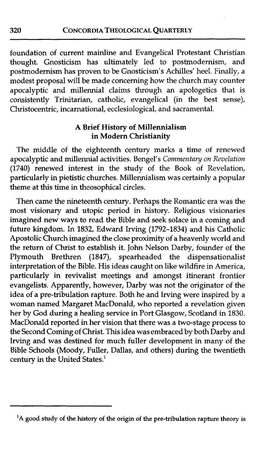foundation of current mainline and Evangelical Protestant Christian thought. Gnosticism has ultimately led to postmodernism, and postmodernism has proven to be Gnosticism's Achilles' heel. Finally, a modest proposal will be made concerning how the church may counter apocalyptic and millennial claims through an apologetics that is consistently Trinitarian, catholic, evangelical (in the best sense), Christocentric, incarnational, ecclesiological, and sacramental.

#### **A** Brief History of Millennialism in Modern Christianity

The middle of the eighteenth century marks a time of renewed apocalyptic and millennial activities. Bengel's *Commentary on Revelation* appocalyptic and millennial activities. Bengel's *Commentary on Revelation* (1740) renewed interest in the study of the Book of Revelation, particularly in pietistic churches. Millennialism was certainly a popular theme at this time in theosophical circles.

Then came the nineteenth century. Perhaps the Romantic era was the most visionary and utopic period in history. Religious visionaries imagined new ways to read the Bible and seek solace in a coming and future kingdom. In 1832, Edward Irving (1792-1834) and his Catholic Apostolic Church imagined the close proximity of a heavenly world and the return of Christ to establish it. John Nelson Darby, founder of the Plymouth Brethren (1847), spearheaded the dispensationalist interpretation of the Bible. His ideas caught on like wildfire in America, particularly in revivalist meetings and amongst itinerant frontier evangelists. Apparently, however, Darby was not the originator of the idea of a pre-tribulation rapture. Both he and Irving were inspired by a woman named Margaret MacDonald, who reported a revelation given her by God during a healing service in Port Glasgow, Scotland in 1830. MacDonald reported in her vision that there was a two-stage process to the Second Coming of Christ. This idea was embraced by both Darby and Irving and was destined for much fuller development in many of the Bible Schools (Moody, Fuller, Dallas, and others) during the twentieth century in the United States.'

320

**<sup>&#</sup>x27;A good study of the history of the origin of the pre-tribulation rapture theory is**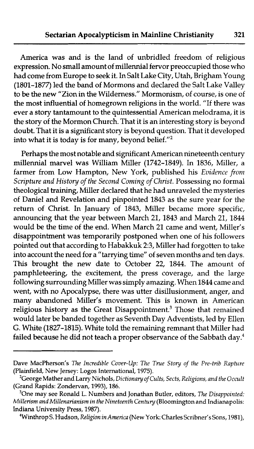America was and is the land of unbridled freedom of religious expression. No small amount of millennia1 fervor preoccupied those who had come from Europe to seek it. In Salt Lake City, Utah, Brigham Young (1801-1877) led the band of Mormons and declared the Salt Lake Valley to be the new "Zion in the Wilderness." Mormonism, of course, is one of the most influential of homegrown religions in the world. "If there was ever a story tantamount to the quintessential American melodrama, it is the story of the Mormon Church. That it is an interesting story is beyond doubt. That it is a significant story is beyond question. That it developed into what it is today is for many, beyond belief."<sup>2</sup>

Perhaps the most notable and significant American nineteenth century millennia1 marvel was William Miller (1742-1849). In 1836, Miller, a farmer from Low Hampton, New York, published his *Evidence from Scripture and History of the Second Coming of Christ.* Possessing no formal theological training, Miller declared that he had unraveled the mysteries of Daniel and Revelation and pinpointed 1843 as the sure year for the return of Christ. In January of 1843, Miller became more specific, announcing that the year between March 21, 1843 and March 21, 1844 would be the time of the end. When March 21 came and went, Miller's disappointment was temporarily postponed when one of his followers pointed out that according to Habakkuk 2:3, Miller had forgotten to take into account the need for a "tarrying time" of seven months and ten days. This brought the new date to October 22, 1844. The amount of pamphleteering, the excitement, the press coverage, and the large following surrounding Miller was simply amazing. When 1844 came and went, with no Apocalypse, there was utter disillusionment, anger, and many abandoned Miller's movement. This is known in American religious history as the Great Disappoint $m$ ent.<sup>3</sup> Those that remained would later be banded together as Seventh Day Adventists, led by Ellen G. White (1827-1815). White told the remaining remnant that Miller had failed because he did not teach a proper observance of the Sabbath day.<sup>4</sup>

Dave MacPherson's The *Incredible Cover-up: The True Story of the Pre-trib Rapture*  (Plainfield, New Jersey: Logos International, 1975).

<sup>&#</sup>x27;George Mather and Larry Nichols, *Dictionary of Cults, Sects, Religions, and the Occult*  (Grand Rapids: Zondervan, 1993), 186.

<sup>30</sup>ne may see Ronald L. Numbers and Jonathan Butler, editors, *The Disappointed: Millerism and Millenarianism in the Nineteenth Century* (Bloomington and Indianapolis: Indiana University Press, 1987).

<sup>4</sup>Winthrop S. Hudson, *Religion in America* (New York: Charles Scribner's Sons, 1981),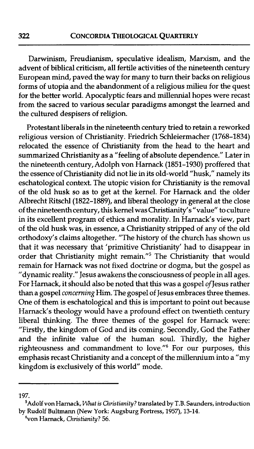Darwinism, Freudianism, speculative idealism, Marxism, and the advent of biblical criticism, all fertile activities of the nineteenth century European mind, paved the way for many to turn their backs on religious forms of utopia and the abandonment of a religious milieu for the quest for the better world. Apocalyptic fears and millennia1 hopes were recast from the sacred to various secular paradigms amongst the learned and the cultured despisers of religion.

Protestant liberals in the nineteenth century tried to retain a reworked religious version of Christianity. Friedrich Schleiermacher (1768-1834) relocated the essence of Christianity from the head to the heart and summarized Christianity as a "feeling of absolute dependence." Later in the nineteenth century, Adolph von Harnack (1851-1930) proffered that the essence of Christianity did not lie in its old-world "husk," namely its eschatological context. The utopic vision for Christianity is the removal of the old husk so as to get at the kernel. For Harnack and the older Albrecht Ritschl(1822-1889), and liberal theology in general at the close of the nineteenth century, this kernel was Christianity's "value" to culture in its excellent program of ethics and morality. In Harnack's view, part of the old husk was, in essence, a Christianity stripped of any of the old orthodoxy's claims altogether. "The history of the church has shown us that it was necessary that 'primitive Christianity' had to disappear in order that Christianity might remain."<sup>5</sup> The Christianity that would remain for Harnack was not fixed doctrine or dogma, but the gospel as "dynamic reality." Jesus awakens the consciousness of people in all ages. For Harnack, it should also be noted that this was a gospel of Jesus rather than a gospel *concerning* Him. The gospel of Jesus embraces three themes. One of them is eschatological and this is important to point out because Harnack's theology would have a profound effect on twentieth century liberal thinking. The three themes of the gospel for Harnack were: "Firstly, the kingdom of God and its coming. Secondly, God the Father and the infinite value of the human soul. Thirdly, the higher righteousness and commandment to love."' For our purposes, this emphasis recast Christianity and a concept of the millennium into a "my kingdom is exclusively of this world" mode.

**<sup>197.</sup>** 

**<sup>&#</sup>x27;Adolf von Harnack,** *What is Christianity?* **translated by T.B. Saunders, introduction by Rudolf Bultrnann (New York: Augsburg Fortress, 1957), 13-14.** 

**<sup>%</sup>on Harnack,** *Christianity?* **56.**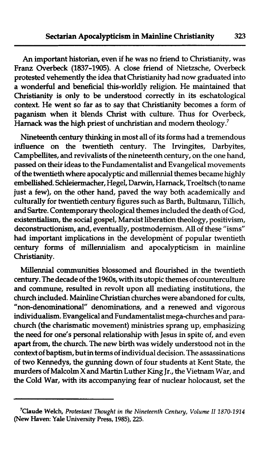An important historian, even if he was no friend to Christianity, was Franz Overbeck (1837-1905). A close friend of Nietzsche, Overbeck protested vehemently the idea that Christianity had now graduated into a wonderful and beneficial this-worldly religion. He maintained that Christianity is only to be understood correctly in its eschatological context. He went so far as to say that Christianity becomes a form of paganism when it blends Christ with culture. Thus for Overbeck, Harnack was the high priest of unchristian and modern theology.<sup>7</sup>

Nineteenth century thinking in most all of its forms had a tremendous influence on the twentieth century. The Irvingites, Darbyites, Campbellites, and revivalists of the nineteenth century, on the one hand, passed on their ideas to the Fundamentalist and Evangelical movements of the twentieth where apocalyptic and millennia1 themes became highly embellished. Schleiermacher, Hegel, Darwin, Harnack, Troeltsch (to name just a few), on the other hand, paved the way both academically and culturally for twentieth century figures such as Barth, Bultmann, Tillich, and Sartre. Contemporary theological themes included the death of God, existentialism, the social gospel, Marxist liberation theology, positivism, deconstructionism, and, eventually, postmodernism. All of these "isms" had important implications in the development of popular twentieth century forms of millennialism and apocalypticism in mainline Christianity.

Millennial communities blossomed and flourished in the twentieth century. The decade of the 1960s, with its utopic themes of counterculture and commune, resulted in revolt upon all mediating institutions, the church included. Mainline Christian churches were abandoned for cults, "non-denominational" denominations, and a renewed and vigorous individualism. Evangelical and Fundamentalist mega-churches and parachurch (the charismatic movement) ministries sprang up, emphasizing the need for one's personal relationship with Jesus in spite of, and even apart from, the church. The new birth was widely understood not in the context of baptism, but in terms of individual decision. The assassinations of two Kennedys, the gunning down of four students at Kent State, the murders of Malcolm X and Martin Luther King Jr., the Vietnam War, and the Cold War, with its accompanying fear of nuclear holocaust, set the

**<sup>&#</sup>x27;Claude Welch,** *Protestant Thought in the Nineteenth Century, Volume I1 1870-1914*  **(New Haven: Yale University Press, 1985), 225.**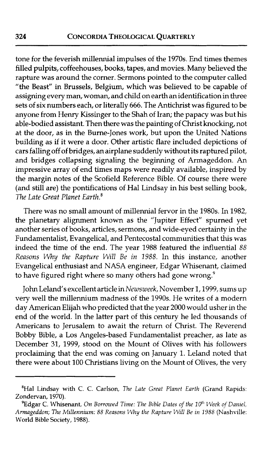tone for the feverish millennial impulses of the 1970s. End times themes filled pulpits, coffeehouses, books, tapes, and movies. Many believed the rapture was around the corner. Sermons pointed to the computer called "the Beast" in Brussels, Belgium, which was believed to be capable of assigning every man, woman, and child on earth an identification in three sets of six numbers each, or literally 666. The Antichrist was figured to be anyone from Henry Kissinger to the Shah of Iran; the papacy was but his able-bodied assistant. Then there was the painting of Christ knocking, not at the door, as in the Burne-Jones work, but upon the United Nations building as if it were a door. Other artistic flare included depictions of cars falling off of bridges, an airplane suddenly without its raptured pilot, and bridges collapsing signaling the beginning of Armageddon. An impressive array of end times maps were readily available, inspired by the margin notes of the Scofield Reference Bible. Of course there were (and still are) the pontifications of Hal Lindsay in his best selling book, The Late Great Planet Earth.<sup>8</sup>

There was no small amount of millennial fervor in the 1980s. In 1982, the planetary alignment known as the "Jupiter Effect" spurned yet another series of books, articles, sermons, and wide-eyed certainty in the Fundamentalist, Evangelical, and Pentecostal communities that this was indeed the time of the end. The year 1988 featured the influential 88 *Reasons* Why *the Rapture Will Be in 1988.* In this instance, another Evangelical enthusiast and NASA engineer, Edgar Whisenant, claimed to have figured right where so many others had gone wrong.<sup>9</sup>

John Leland's excellent article in *Newsweek,* November 1,1999, sums up very well the millennium madness of the 1990s. He writes of a modern day American Elijah who predicted that the year 2000 would usher in the end of the world. In the latter part of this century he led thousands of Americans to Jerusalem to await the return of Christ. The Reverend Bobby Bible, a Los Angeles-based Fundamentalist preacher, as late as December 31, 1999, stood on the Mount of Olives with his followers proclaiming that the end was coming on January 1. Leland noted that there were about 100 Christians living on the Mount of Olives, the very

<sup>&#</sup>x27;Hal Lindsay with C. C. Carlson, The *Late Great Planet Earth* (Grand Rapids: Zondervan, 1970).

<sup>&</sup>lt;sup>9</sup>Edgar C. Whisenant, *On Borrowed Time: The Bible Dates of the 10<sup>th</sup> Week of Daniel, Armageddon; The Millennium:* 88 *Reasons* My *the Rapture Will Be in* I988 (Nashville: World Bible Society, 1988).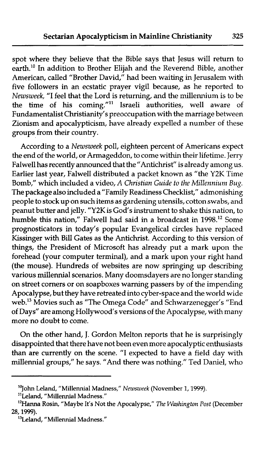spot where they believe that the Bible says that Jesus will return to earth.<sup>10</sup> In addition to Brother Elijah and the Reverend Bible, another American, called "Brother David," had been waiting in Jerusalem with five followers in an ecstatic prayer vigil because, as he reported to *Newsweek,* "I feel that the Lord is returning, and the millennium is to be the time of his coming."" Israeli authorities, well aware of Fundamentalist Christianity's preoccupation with the marriage between Zionism and apocalypticism, have already expelled a number of these groups from their country.

According to a *Newsweek* poll, eighteen percent of Americans expect the end of the world, or Armageddon, to come within their lifetime. Jerry Falwell has recently announced that the "Antichrist" is already among us. Earlier last year, Falwell distributed a packet known as "the Y2K Time Bomb," which included a video, A *Christian Guide to the Millennium Bug.*  The package also included a "Family Readiness Checklist," admonishing people to stock up on such items as gardening utensils, cotton swabs, and peanut butter and jelly. **"Y2K** is God's instrument to shake this nation, to humble this nation," Falwell had said in a broadcast in 1998.<sup>12</sup> Some prognosticators in today's popular Evangelical circles have replaced Kissinger with Bill Gates as the Antichrist. According to this version of things, the President of Microsoft has already put a mark upon the forehead (your computer terminal), and a mark upon your right hand (the mouse). Hundreds of websites are now springing up describing various millennial scenarios. Many doomsdayers are no longer standing on street corners or on soapboxes warning passers by of the impending Apocalypse, but they have retreated into cyber-space and the world wide web.<sup>13</sup> Movies such as "The Omega Code" and Schwarzenegger's "End of Days" are among Hollywood's versions of the Apocalypse, with many more no doubt to come.

On the other hand, J. Gordon Melton reports that he is surprisingly disappointed that there have not been even more apocalyptic enthusiasts than are currently on the scene. "I expected to have a field day with millennial groups," he says. "And there was nothing." Ted Daniel, who

**<sup>&</sup>quot;John Leland, "Millennia1 Madness,"** *Newsweek* **(November 1,1999).** 

**<sup>&</sup>quot;Leland, "Millennial Madness."** 

**l2Hanna Rosin, "Maybe It's Not the Apocalypse," The Washington** *Post* **(December 28,1999).** 

**<sup>13</sup>Leland, "Millennial Madness."**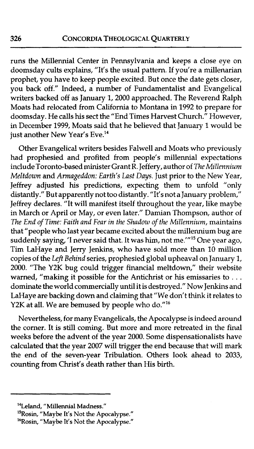runs the Millennial Center in Pennsylvania and keeps a close eye on doomsday cults explains, "It's the usual pattern. If you're a millenarian prophet, you have to keep people excited. But once the date gets closer, you back off." Indeed, a number of Fundamentalist and Evangelical writers backed off as January 1, 2000 approached. The Reverend Ralph Moats had relocated from California to Montana in 1992 to prepare for doomsday. He calls his sect the "End Times Harvest Church." However, in December 1999, Moats said that he believed that January 1 would be just another New Year's Eve.<sup>14</sup>

Other Evangelical writers besides Falwell and Moats who previously had prophesied and profited from people's millennia1 expectations include Toronto-based minister Grant R. Jeffery, author of The *Millennium Meltdown* and *Armageddon: Earth's Last Days.* Just prior to the New Year, Jeffrey adjusted his predictions, expecting them to unfold "only distantly." But apparently not too distantly. "It's not a January problem," Jeffrey declares. "It will manifest itself throughout the year, like maybe in March or April or May, or even later." Damian Thompson, author of *The End* **of** *Time: Faith and Fear in the Shadow* **of** *the Millennium,* maintains that "people who last year became excited about the millennium bug are suddenly saying, 'I never said that. It was him, not me.'"<sup>15</sup> One year ago, Tim LaHaye and Jerry Jenkins, who have sold more than 10 million copies of the *Left Behind* series, prophesied global upheaval on January 1, 2000. "The Y2K bug could trigger financial meltdown," their website warned, "making it possible for the Antichrist or his emissaries to . . . dominate the world commercially until it is destroyed." Now Jenkins and LaHaye are backing down and claiming that "We don't think it relates to Y2K at all. We are bemused by people who do."<sup>16</sup>

Nevertheless, for many Evangelicals, the Apocalypse is indeed around the corner. It is still coming. But more and more retreated in the final weeks before the advent of the year 2000. Some dispensationalists have calculated that the year 2007 will trigger the end because that will mark the end of the seven-year Tribulation. Others look ahead to 2033, counting from Christ's death rather than His birth.

**I4Leland, "Millennia1 Madness."** 

**<sup>&#</sup>x27;'Rosin, "Maybe It's Not the Apocalypse."** 

**<sup>16</sup>Rosin, "Maybe It's Not the Apocalypse."**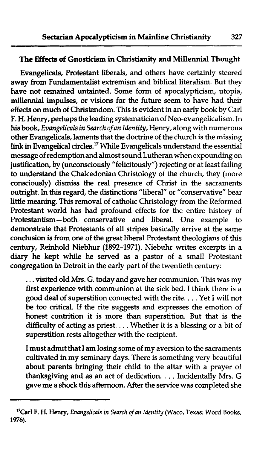#### **The Effects** of Gnosticism in Christianity and Millennia1 Thought

Evangelicals, Protestant liberals, and others have certainly steered away from Fundamentalist extremism and biblical literalism. But they have not remained untainted. Some form of apocalypticism, utopia, **millennia1** impulses, or visions for the future seem to have had their effects on much of Christendom. This is evident in an early book by Carl F. H. Henry, perhaps the leading systematician of Neo-evangelicalism. In his book, Evangelicals in Search of an **Identity,** Henry, along with numerous other Evangelicals, laments that the doctrine of the church is the missing **link** in Evangelical circles." While Evangelicals understand the essential message of redemptionand almost sound Lutheran when expounding on justification, by (unconsciously "felicitously") rejecting or at least failing to understand the Chalcedonian Christology of the church, they (more consciously) dismiss the real presence of Christ in the sacraments outright. In this regard, the distinctions "liberal" or "conservative" bear little meaning. This removal of catholic Christology from the Reformed Protestant world has had profound effects for the entire history of Protestantism-both conservative and liberal. One example to demonstrate that Protestants of all stripes basically arrive at the same conclusion is from one of the great liberal Protestant theologians of this century, Reinhold Niebhur (1892-1971). Niebuhr writes excerpts in a diary he kept while he served as a pastor of a small Protestant congregation in Detroit in the early part of the twentieth century:

. . . visited old Mrs. G. today and gave her communion. This was my first experience with communion at the sick bed. I think there is a good deal of superstition connected with the rite. . . . Yet I will not be too critical. If the rite suggests and expresses the emotion of' honest contrition it is more than superstition. But that is the difficulty of acting as priest. . . . Whether it is a blessing or a bit of superstition rests altogether with the recipient.

I must admit that I am losing some of my aversion to the sacraments cultivated in my seminary days. There is something very beautiful about parents bringing their child to the altar with a prayer of thanksgiving and as an act of dedication. . . . Incidentally Mrs. G gave me a shock this afternoon. After the service was completed she

<sup>&</sup>lt;sup>17</sup>Carl F. H. Henry, *Evangelicals in Search of an Identity* (Waco, Texas: Word Books, **1976).**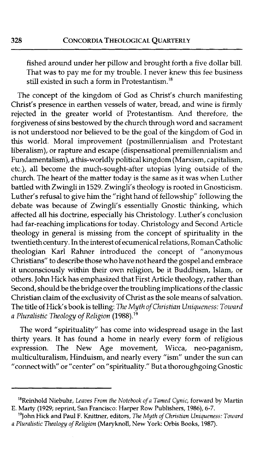fished around under her pillow and brought forth a five dollar bill. That was to pay me for my trouble. I never knew this fee business still existed in such a form in Protestantism.<sup>18</sup>

The concept of the kingdom of God as Christ's church manifesting Christ's presence in earthen vessels of water, bread, and wine is firmly rejected in the greater world of Protestantism. And therefore, the forgiveness of sins bestowed by the church through word and sacrament is not understood nor believed to be the goal of the kingdom of God in this world. Moral improvement (postmillennialism and Protestant liberalism), or rapture and escape (dispensational premillennialism and Fundamentalism), a this-worldly political kingdom (Marxism, capitalism, etc.), all become the much-sought-after utopias lying outside of the church. The heart of the matter today is the same as it was when Luther battled with Zwingli in 1529. Zwingli's theology is rooted in Gnosticism. Luther's refusal to give him the "right hand of fellowship" following the debate was because of Zwingli's essentially Gnostic thinking, which affected all his doctrine, especially his Christology. Luther's conclusion had far-reaching implications for today. Christology and Second Article theology in general is missing from the concept of spirituality in the twentieth century. In the interest of ecumenical relations, Roman Catholic theologian Karl Rahner introduced the concept of "anonymous Christians" to describe those who have not heard the gospel and embrace it unconsciously within their own religion, be it Buddhism, Islam, or others. John Hick has emphasized that First Article theology, rather than Second, should be the bridge over the troubling implications of the classic Christian claim of the exclusivity of Christ as the sole means of salvation. The title of Hick's book is telling: The Myth *of Christian Uniqueness: Toward a Pluralistic Theology* of *Religion* (1988).19

The word "spirituality" has come into widespread usage in the last thirty years. It has found a home in nearly every form of religious expression. The New Age movement, Wicca, neo-paganism, multiculturalism, Hinduism, and nearly every "ism" under the sun can "connect with" or "center" on "spirituality." But a thoroughgoing Gnostic

<sup>&</sup>lt;sup>18</sup>Reinhold Niebuhr, *Leaves From the Notebook of a Tamed Cynic*, forward by Martin E. Marty (1929; reprint, San Francisco: Harper Row Publishers, 1986), 6-7.

<sup>&</sup>lt;sup>19</sup>John Hick and Paul F. Knittner, editors, *The Myth of Christian Uniqueness: Toward a Pluralistic Theology ofReligion* (Maryknoll, New York: Orbis Books, 1987).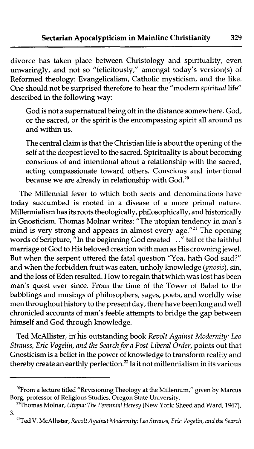divorce has taken place between Christology and spirituality, even unwaringly, and not so "felicitously," amongst today's version(s) of Reformed theology: Evangelicalism, Catholic mysticism, and the like. One should not be surprised therefore to hear the "modern spiritual life" described in the following way:

God is not a supernatural being off in the distance somewhere. God, or the sacred, or the spirit is the encompassing spirit all around us and within us.

The central claim is that the Christian life is about the opening of the self at the deepest level to the sacred. Spirituality is about becoming conscious of and intentional about a relationship with the sacred, acting compassionate toward others. Conscious and intentional because we are already in relationship with God.<sup>20</sup>

The Millennia1 fever to which both sects and denominations have today succumbed is rooted in a disease of **a** more primal nature. Millennialism has its roots theologically, philosophically, and historically in Gnosticism. Thomas Molnar writes: "The utopian tendency in man's mind is very strong and appears in almost every age."<sup>21</sup> The opening words of Scripture, "In the beginning God created . . ." tell of the faithful marriage of God to His beloved creation with man as His crowning jewel. But when the serpent uttered the fatal question "Yea, hath God said?" and when the forbidden fruit was eaten, unholy knowledge (gnosis), sin, and the loss of Eden resulted. How to regain that which was lost has been man's quest ever since. From the time of the Tower of Babel to the babblings and musings of philosophers, sages, poets, and worldly wise men throughout history to the present day, there have been long and well chronicled accounts of man's feeble attempts to bridge the gap between himself and God through knowledge.

Ted McAllister, in his outstanding book Revolt Against Modernity: Leo Strauss, Eric Vogelin, and the Search for a Post-Liberal Order, points out that Gnosticism is a belief in the power of knowledge to transform reality and thereby create an earthly perfection. $^{22}$  Is it not millennialism in its various

 $^{20}$ From a lecture titled "Revisioning Theology at the Millenium," given by Marcus Borg, professor of Religious Studies, Oregon State University.

<sup>&#</sup>x27;'Thornas Molnar, *Utopia: The Perennial Heresy* (New York: Sheed and Ward, 1967), **3.** 

<sup>&</sup>lt;sup>22</sup>Ted V. McAllister, *Revolt Against Modernity: Leo Strauss, Eric Vogelin, and the Search*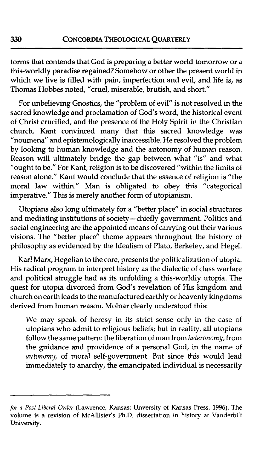forms that contends that God is preparing a better world tomorrow or a this-worldly paradise regained? Somehow or other the present world in which we live is filled with pain, imperfection and evil, and life is, as Thomas Hobbes noted, "cruel, miserable, brutish, and short."

For unbelieving Gnostics, the "problem of evil" is not resolved in the sacred knowledge and proclamation of God's word, the historical event of Christ crucified, and the presence of the Holy Spirit in the Christian church. Kant convinced many that this sacred knowledge was "noumena" and epistemologically inaccessible. He resolved the problem by looking to human knowledge and the autonomy of human reason. Reason will ultimately bridge the gap between what "is" and what "ought to be." For Kant, religion is to be discovered "within the limits of reason alone." Kant would conclude that the essence of religion is "the moral law within." Man is obligated to obey this "categorical imperative." This is merely another form of utopianism.

Utopians also long ultimately for a "better place" in social structures and mediating institutions of society - chiefly government. Politics and social engineering are the appointed means of carrying out their various visions. The "better place" theme appears throughout the history of philosophy as evidenced by the Idealism of Plato, Berkeley, and Hegel.

Karl Marx, Hegelian to the core, presents the politicalization of utopia. His radical program to interpret history as the dialectic of class warfare and political struggle had as its unfolding a this-worldly utopia. The quest for utopia divorced from God's revelation of His kingdom and church on earth leads to the manufactured earthly or heavenly kingdoms derived from human reason. Molnar clearly understood this:

We may speak of heresy in its strict sense only in the case of utopians who admit to religious beliefs; but in reality, all utopians follow the same pattern: the liberation of man from heteronomy, from the guidance and providence of a personal God, in the name of autonomy, of moral self-government. But since this would lead immediately to anarchy, the emancipated individual is necessarily

*for* **a** *Post-Liberal Order* **(Lawrence, Kansas: Unversity of Kansas Press, 1996). The volume is a revision of McAllister's Ph.D. dissertation in history at Vanderbilt University.**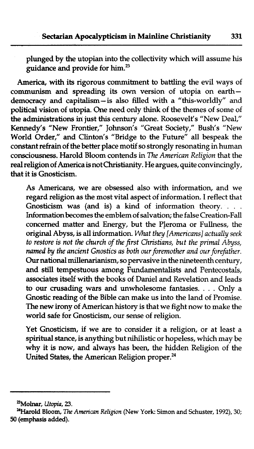plunged by the utopian into the collectivity which will assume his guidance and provide for him.<sup>23</sup>

America, with its rigorous commitment to battling the evil ways of communism and spreading its own version of utopia on earthdemocracy and capitalism-is also filled with a "this-worldly" and political vision of utopia. One need only think of the themes of some of the administrations in just this century alone. Roosevelt's "New Deal," Kennedy's "New Frontier," Johnson's "Great Society," Bush's "New World Order," and Clinton's "Bridge to the Future" all bespeak the constant refrain of the better place motif so strongly resonating in human consciousness. Harold Bloom contends in *The American Religion* that the real religion of America is not Christianity. He argues, quite convincingly, that it is Gnosticism.

As Americans, we are obsessed also with information, and we regard religion as the most vital aspect of information. I reflect that Gnosticism was (and is) a kind of information theory. . . . Information becomes the emblem of salvation; the false Creation-Fall concerned matter and Energy, but the Pleroma or Fullness, the original Abyss, is all information. *What they [Americans] actually seek to restore is not the church of the first Christians, but the primal Abyss, named by the ancient Gnostics as both our foremother and our forefather.*  Our national millenarianism, so pervasive in the nineteenth century, and still tempestuous among Fundamentalists and Pentecostals, associates itself with the books of Daniel and Revelation and leads to our crusading wars and unwholesome fantasies. . . . Only a Gnostic reading of the Bible can make us into the land of Promise. The new irony of American history is that we fight now to make the world safe for Gnosticism, our sense of religion.

Yet Gnosticism, if we are to consider it a religion, or at least a spiritual stance, is anything but nihilistic or hopeless, which may be why it is now, and always has been, the hidden Religion of the United States, the American Religion proper.<sup>24</sup>

**PMolnar, Utopia, 23.** 

**<sup>&#</sup>x27;%arold Bloom,** *The* **American** *Religion* **(New York: Simon and Schuster,** 1992), **30; 50 (emphasis added).**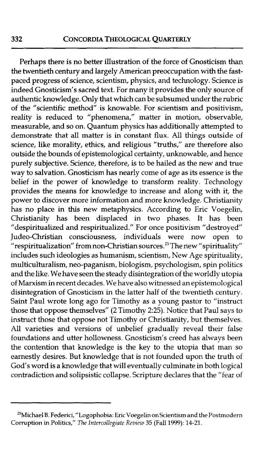Perhaps there is no better illustration of the force of Gnosticism than the twentieth century and largely American preoccupation with the fastpaced progress of science, scientism, physics, and technology. Science is indeed Gnosticism's sacred text. For many it provides the only source of authentic knowledge. Only that which can be subsumed under the rubric of the "scientific method" is knowable. For scientism and positivism, reality is reduced to "phenomena," matter in motion, observable, measurable, and so on. Quantum physics has additionally attempted to demonstrate that all matter is in constant flux. All things outside of science, like morality, ethics, and religious "truths," are therefore also outside the bounds of epistemological certainty, unknowable, and hence purely subjective. Science, therefore, is to be hailed as the new and true way to salvation. Gnosticism has nearly come of age as its essence is the belief in the power of knowledge to transform reality. Technology provides the means for knowledge to increase and along with it, the power to discover more information and more knowledge. Christianity has no place in this new metaphysics. According to Eric Voegelin, Christianity has been displaced in two phases. It has been "despiritualized and respiritualized." For once positivism "destroyed" Judeo-Christian consciousness, individuals were now open to "respiritualization" from non-Christian sources.25 The new "spirituality" includes such ideologies as humanism, scientism, New Age spirituality, multiculturalism, neo-paganism, biologism, psychologism, spin politics and the like. We have seen the steady disintegration of the worldly utopia of Marxism in recent decades. We have also witnessed an epistemological disintegration of Gnosticism in the latter half of the twentieth century. Saint Paul wrote long ago for Timothy as a young pastor to "instruct those that oppose themselves" (2 Timothy 2:25). Notice that Paul says to instruct those that oppose not Timothy or Christianity, but themselves. All varieties and versions of unbelief gradually reveal their false foundations and utter hollowness. Gnosticism's creed has always been the contention that knowledge is the key to the utopia that man so earnestly desires. But knowledge that is not founded upon the truth of God's word is a knowledge that will eventually culminate in both logical contradiction and solipsistic collapse. Scripture declares that the "fear of

<sup>&</sup>lt;sup>25</sup>Michael B. Federici, "Logophobia: Eric Voegelin on Scientism and the Postmodern Corruption in Politics," The Intercollegiate *Review* **35** (Fall 1999): 14-21.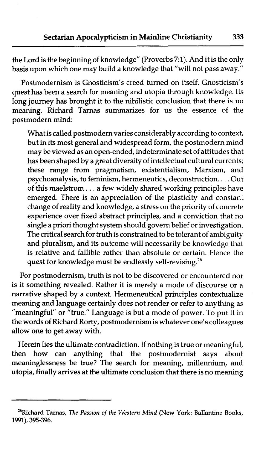the Lord is the beginning of knowledge" (Proverbs **7:l).** And it is the only basis upon which one may build a knowledge that "will not pass away."

Postmodernism is Gnosticism's creed turned on itself. Gnosticism's quest has been a search for meaning and utopia through knowledge. Its long journey has brought it to the nihilistic conclusion that there is no meaning. Richard Tarnas summarizes for us the essence of the postmodern mind:

What is called postmodern varies considerably according to context, but in its most general and widespread form, the postmodern mind may be viewed as an open-ended, indeterminate set of attitudes that has been shaped by a great diversity of intellectual cultural currents; these range from pragmatism, existentialism, Marxism, and psychoanalysis, to feminism, hermeneutics, deconstruction. . . . Out of this maelstrom . . . a few widely shared working principles have emerged. There is an appreciation of the plasticity and constant change of reality and knowledge, a stress on the priority of concrete experience over fixed abstract principles, and a conviction that no single a priori thought system should govern belief or investigation. The critical search for truth is constrained to be tolerant of ambiguity and pluralism, and its outcome will necessarily be knowledge that is relative and fallible rather than absolute or certain. Hence the quest for knowledge must be endlessly self-revising.<sup>26</sup>

For postmodernism, truth is not to be discovered or encountered nor is it something revealed. Rather it is merely a mode of discourse or a narrative shaped by a context. Hermeneutical principles contextualize meaning and language certainly does not render or refer to anything as "meaningful" or "true." Language is but a mode of power. To put it in the words of Richard Rorty, postmodernism is whatever one's colleagues allow one to get away with.

Herein lies the ultimate contradiction. If nothing is true or meaningful, then how can anything that the postmodernist says about meaninglessness be true? The search for meaning, millennium, and utopia, finally arrives at the ultimate conclusion that there is no meaning

**<sup>26</sup>Richard Tarnas,** *The Passion of the Western Mind* **(New York: Ballantine Books, 1991), 395-396.**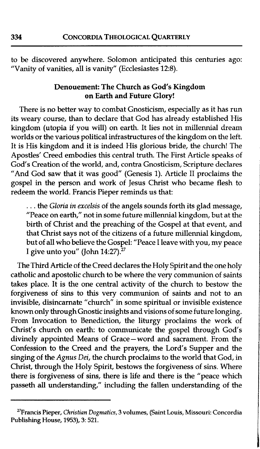to be discovered anywhere. Solomon anticipated this centuries ago: "Vanity of vanities, all is vanity" (Ecclesiastes 12:8).

#### Denouement: The Church as God's Kingdom on **Earth** and Future **Glory!**

There is no better way to combat Gnosticism, especially as it has run its weary course, than to declare that God has already established His kingdom (utopia if you will) on earth. It lies not in millennia1 dream worlds or the various political infrastructures of the kingdom on the left. It is His kingdom and it is indeed His glorious bride, the church! The Apostles' Creed embodies this central truth. The First Article speaks of God's Creation of the world, and, contra Gnosticism, Scripture declares "And God saw that it was good" (Genesis 1). Article I1 proclaims the gospel in the person and work of Jesus Christ who became flesh to redeem the world. Francis Pieper reminds us that:

... the Gloria in excelsis of the angels sounds forth its glad message, "Peace on earth," not in some future millennial kingdom, but at the birth of Christ and the preaching of the Gospel at that event, and that Christ says not of the citizens of a future millennial kingdom, but of all who believe the Gospel: "Peace I leave with you, my peace I give unto you" (John  $14:27$ ).<sup>27</sup>

The Third Article of the Creed declares the Holy Spirit and the one holy catholic and apostolic church to be where the very communion of saints takes place. It is the one central activity of the church to bestow the forgiveness of sins to this very communion of saints and not to an invisible, disincarnate "church" in some spiritual or invisible existence known only through Gnostic insights and visions of some future longing. From Invocation to Benediction, the liturgy proclaims the work of Christ's church on earth: to communicate the gospel through God's divinely appointed Means of Grace-word and sacrament. From the Confession to the Creed and the prayers, the Lord's Supper and the singing of the Agnus Dei, the church proclaims to the world that God, in Christ, through the Holy Spirit, bestows the forgiveness of sins. Where there is forgiveness of sins, there is life and there is the "peace which passeth all understanding," including the fallen understanding of the

**<sup>&</sup>quot;Francis Pieper, Christian Dogmatics, 3 volumes, (Saint Louis, Missouri: Concordia Publishing House, 1953), 3: 521.**